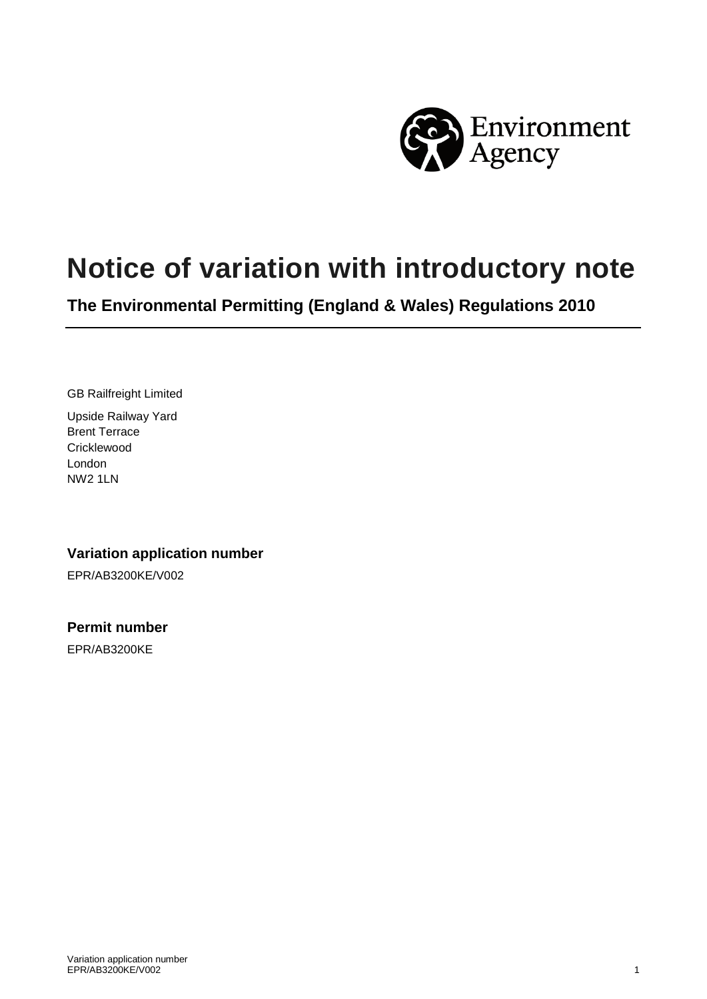

# **Notice of variation with introductory note**

**The Environmental Permitting (England & Wales) Regulations 2010** 

GB Railfreight Limited

Upside Railway Yard Brent Terrace **Cricklewood** London NW2 1LN

### **Variation application number**

EPR/AB3200KE/V002

#### **Permit number**

EPR/AB3200KE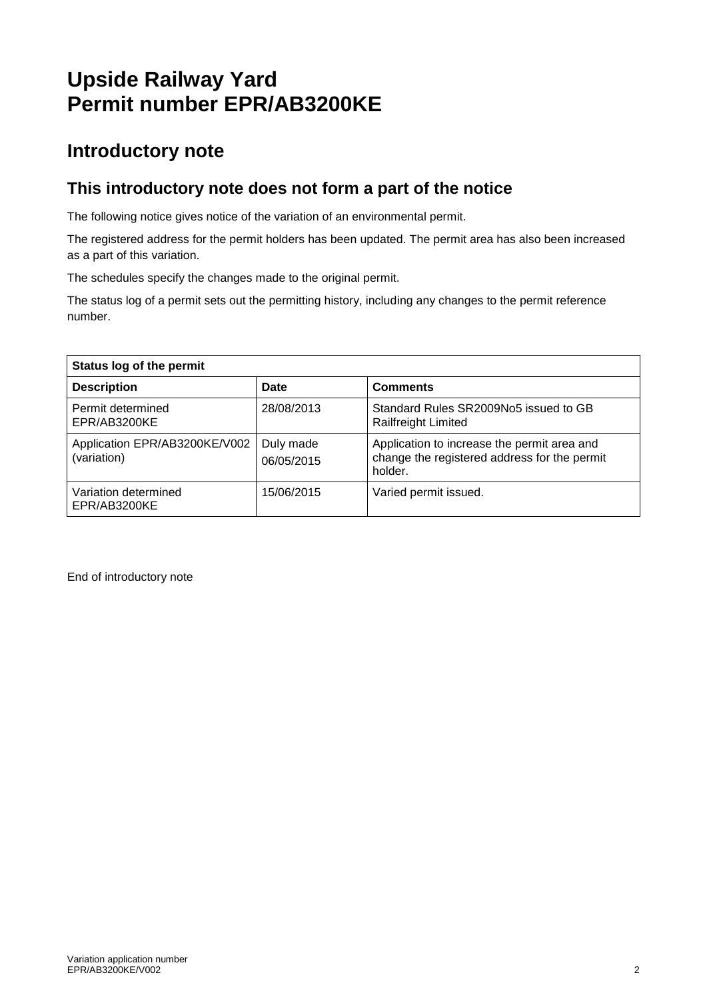## **Upside Railway Yard Permit number EPR/AB3200KE**

### **Introductory note**

### **This introductory note does not form a part of the notice**

The following notice gives notice of the variation of an environmental permit.

The registered address for the permit holders has been updated. The permit area has also been increased as a part of this variation.

The schedules specify the changes made to the original permit.

The status log of a permit sets out the permitting history, including any changes to the permit reference number.

| Status log of the permit                     |                         |                                                                                                        |  |
|----------------------------------------------|-------------------------|--------------------------------------------------------------------------------------------------------|--|
| <b>Description</b>                           | Date                    | <b>Comments</b>                                                                                        |  |
| Permit determined<br>EPR/AB3200KE            | 28/08/2013              | Standard Rules SR2009No5 issued to GB<br>Railfreight Limited                                           |  |
| Application EPR/AB3200KE/V002<br>(variation) | Duly made<br>06/05/2015 | Application to increase the permit area and<br>change the registered address for the permit<br>holder. |  |
| Variation determined<br>EPR/AB3200KE         | 15/06/2015              | Varied permit issued.                                                                                  |  |

End of introductory note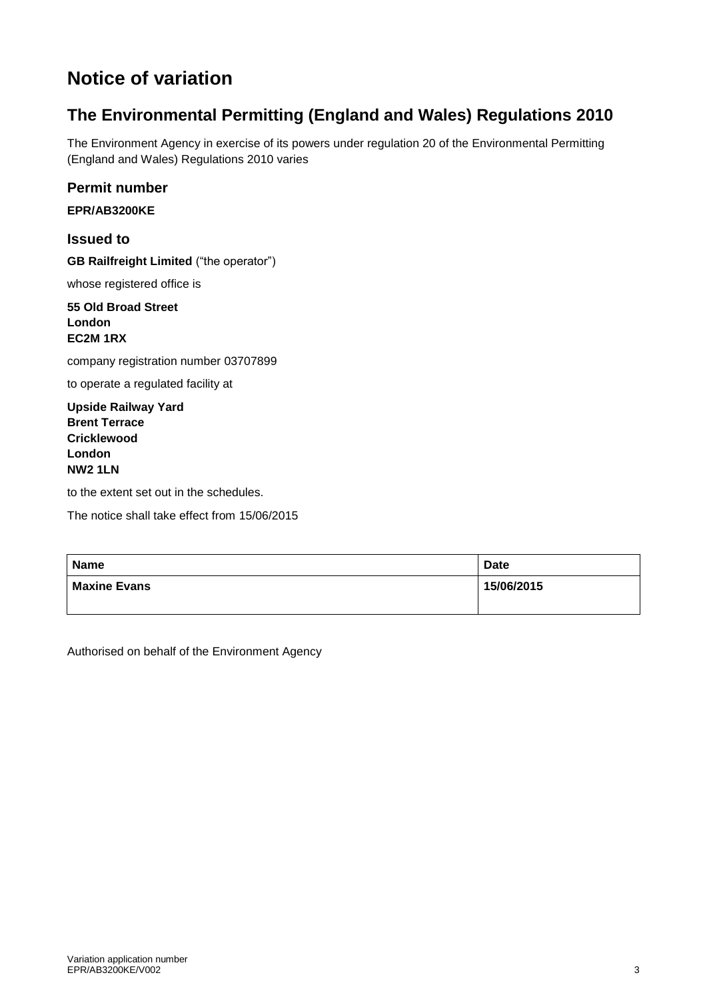### **Notice of variation**

### **The Environmental Permitting (England and Wales) Regulations 2010**

The Environment Agency in exercise of its powers under regulation 20 of the Environmental Permitting (England and Wales) Regulations 2010 varies

**Permit number**

**EPR/AB3200KE**

**Issued to GB Railfreight Limited** ("the operator")

whose registered office is

**55 Old Broad Street London EC2M 1RX**

company registration number 03707899

to operate a regulated facility at

**Upside Railway Yard Brent Terrace Cricklewood London NW2 1LN**

to the extent set out in the schedules.

The notice shall take effect from 15/06/2015

| <b>Name</b>         | <b>Date</b> |
|---------------------|-------------|
| <b>Maxine Evans</b> | 15/06/2015  |
|                     |             |

Authorised on behalf of the Environment Agency